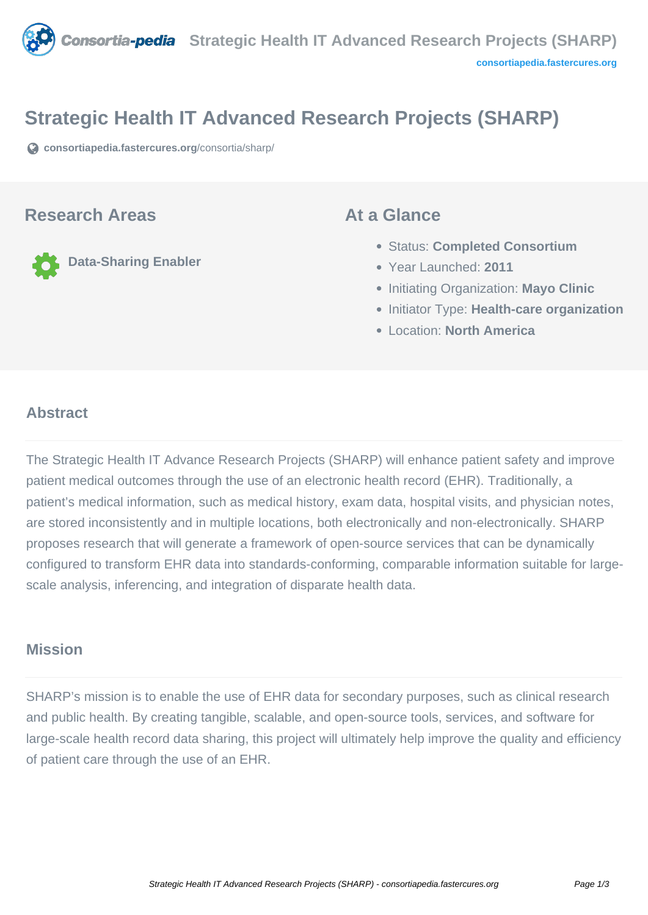

# **Strategic Health IT Advanced Research Projects (SHARP)**

**[consortiapedia.fastercures.org](https://consortiapedia.fastercures.org/consortia/sharp/)**[/consortia/sharp/](https://consortiapedia.fastercures.org/consortia/sharp/)

#### **Research Areas**

**Data-Sharing Enabler**

#### **At a Glance**

- Status: **Completed Consortium**
- Year Launched: **2011**
- **Initiating Organization: Mayo Clinic**
- **Initiator Type: Health-care organization**
- Location: **North America**

#### $\overline{a}$ **Abstract**

The Strategic Health IT Advance Research Projects (SHARP) will enhance patient safety and improve patient medical outcomes through the use of an electronic health record (EHR). Traditionally, a patient's medical information, such as medical history, exam data, hospital visits, and physician notes, are stored inconsistently and in multiple locations, both electronically and non-electronically. SHARP proposes research that will generate a framework of open-source services that can be dynamically configured to transform EHR data into standards-conforming, comparable information suitable for largescale analysis, inferencing, and integration of disparate health data.

## **Mission**

SHARP's mission is to enable the use of EHR data for secondary purposes, such as clinical research and public health. By creating tangible, scalable, and open-source tools, services, and software for large-scale health record data sharing, this project will ultimately help improve the quality and efficiency of patient care through the use of an EHR.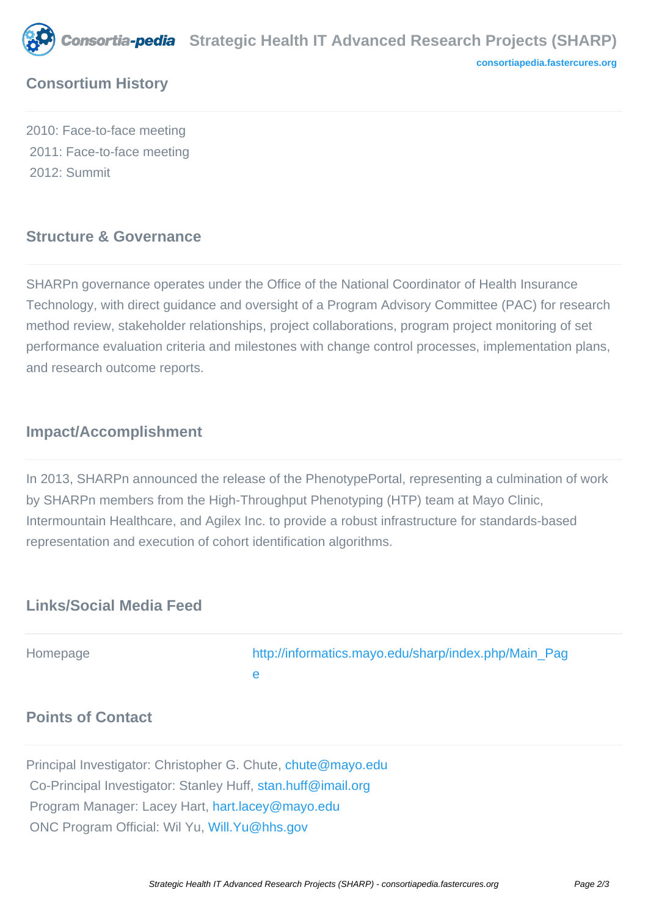

# **Consortium History**

2010: Face-to-face meeting 2011: Face-to-face meeting 2012: Summit

### **Structure & Governance**

SHARPn governance operates under the Office of the National Coordinator of Health Insurance Technology, with direct guidance and oversight of a Program Advisory Committee (PAC) for research method review, stakeholder relationships, project collaborations, program project monitoring of set performance evaluation criteria and milestones with change control processes, implementation plans, and research outcome reports.

# **Impact/Accomplishment**

In 2013, SHARPn announced the release of the PhenotypePortal, representing a culmination of work by SHARPn members from the High-Throughput Phenotyping (HTP) team at Mayo Clinic, Intermountain Healthcare, and Agilex Inc. to provide a robust infrastructure for standards-based representation and execution of cohort identification algorithms.

## **Links/Social Media Feed**

Homepage [http://informatics.mayo.edu/sharp/index.php/Main\\_Pag](http://informatics.mayo.edu/sharp/index.php/Main_Page) [e](http://informatics.mayo.edu/sharp/index.php/Main_Page)

# **Points of Contact**

Principal Investigator: Christopher G. Chute, [chute@mayo.edu](mailto:chute@mayo.edu) Co-Principal Investigator: Stanley Huff, [stan.huff@imail.org](mailto:stan.huff@imail.org) Program Manager: Lacey Hart, [hart.lacey@mayo.edu](mailto:hart.lacey@mayo.edu) ONC Program Official: Wil Yu, [Will.Yu@hhs.gov](mailto:Will.Yu@hhs.gov)